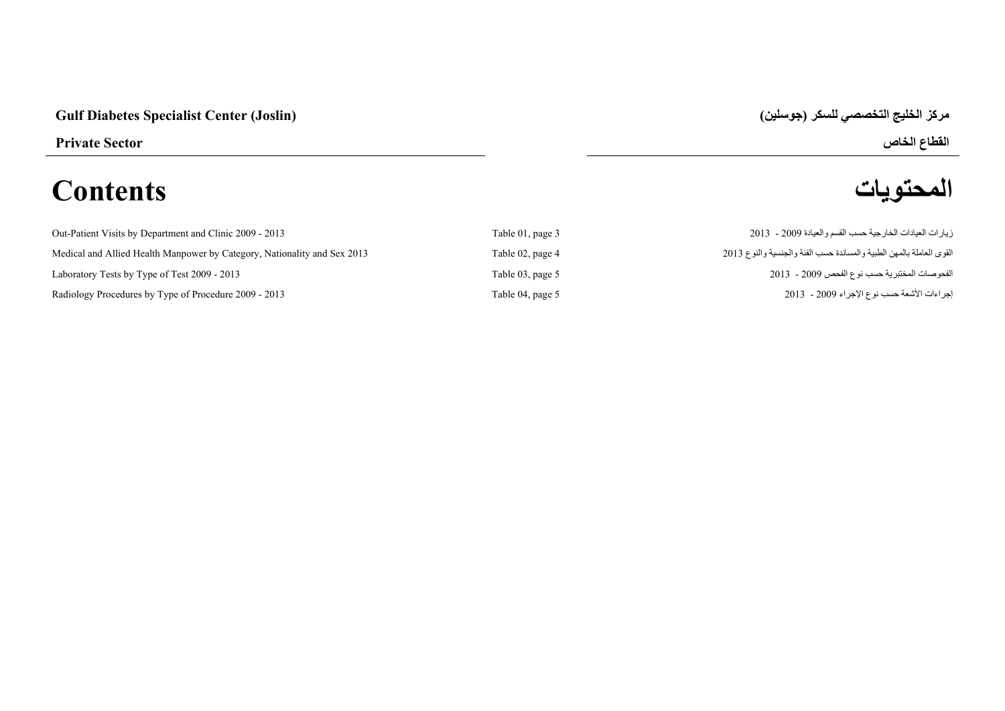## **مركز الخليج التخصصي للسكر (جوسلين) (Joslin (Center Specialist Diabetes Gulf**

# القطاع الخاص<br>القطاع الخاص<br>**المحتويات** العصوليات **المحتويات Contents**

| Out-Patient Visits by Department and Clinic 2009 - 2013                  | Table 01, page 3 | زيار ات العيادات الخار جية حسب القسم والعيادة 2009 - 2013            |
|--------------------------------------------------------------------------|------------------|----------------------------------------------------------------------|
| Medical and Allied Health Manpower by Category, Nationality and Sex 2013 | Table 02, page 4 | القوى العاملة بالمهن الطبية والمساندة حسب الفئة والجنسية والنوع 2013 |
| Laboratory Tests by Type of Test 2009 - 2013                             | Table 03, page 5 | الفحوصات المختبرية حسب نوع الفحص 2009 - 2013                         |
| Radiology Procedures by Type of Procedure 2009 - 2013                    | Table 04, page 5 | إجراءات الأشعة حسب نوع الإجراء 2009 - 2013                           |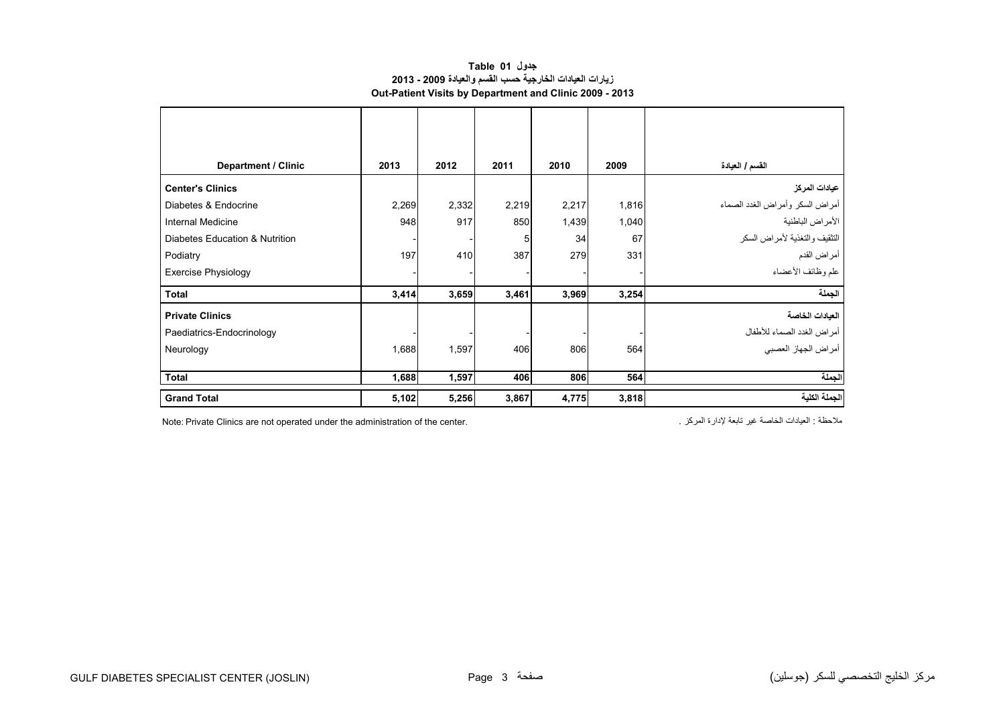#### **جدول 01 Table زيارات العيادات الخارجية حسب القسم والعيادة 2009 - 2013 Out-Patient Visits by Department and Clinic 2009 - 2013**

<span id="page-1-0"></span>

| <b>Department / Clinic</b>     | 2013  | 2012  | 2011  | 2010  | 2009  | القسم / العيادة                 |
|--------------------------------|-------|-------|-------|-------|-------|---------------------------------|
| <b>Center's Clinics</b>        |       |       |       |       |       | عيادات المركز                   |
| Diabetes & Endocrine           | 2,269 | 2,332 | 2,219 | 2,217 | 1,816 | أمراض السكر وأمراض الغدد الصماء |
| <b>Internal Medicine</b>       | 948   | 917   | 850   | 1,439 | 1,040 | الأمراض الباطنية                |
| Diabetes Education & Nutrition |       |       | 5     | 34    | 67    | التثقيف والتغذية لأمراض السكر   |
| Podiatry                       | 197   | 410   | 387   | 279   | 331   | أمراض القدم                     |
| <b>Exercise Physiology</b>     |       |       |       |       |       | علم وظائف الأعضاء               |
| Total                          | 3,414 | 3,659 | 3,461 | 3,969 | 3,254 | الجملة                          |
| <b>Private Clinics</b>         |       |       |       |       |       | العيادات الخاصة                 |
| Paediatrics-Endocrinology      |       |       |       |       |       | أمراض الغدد الصماء للأطفال      |
| Neurology                      | 1,688 | 1,597 | 406   | 806   | 564   | أمراض الجهاز العصبي             |
|                                |       |       |       |       |       |                                 |
| <b>Total</b>                   | 1,688 | 1,597 | 406   | 806   | 564   | الجملة                          |
| <b>Grand Total</b>             | 5,102 | 5,256 | 3,867 | 4,775 | 3,818 | الجملة الكلية                   |

ملاحظة : العيادات الخاصة غير تابعة لإدارة المركز . . . . . . Note: Private Clinics are not operated under the administration of the center.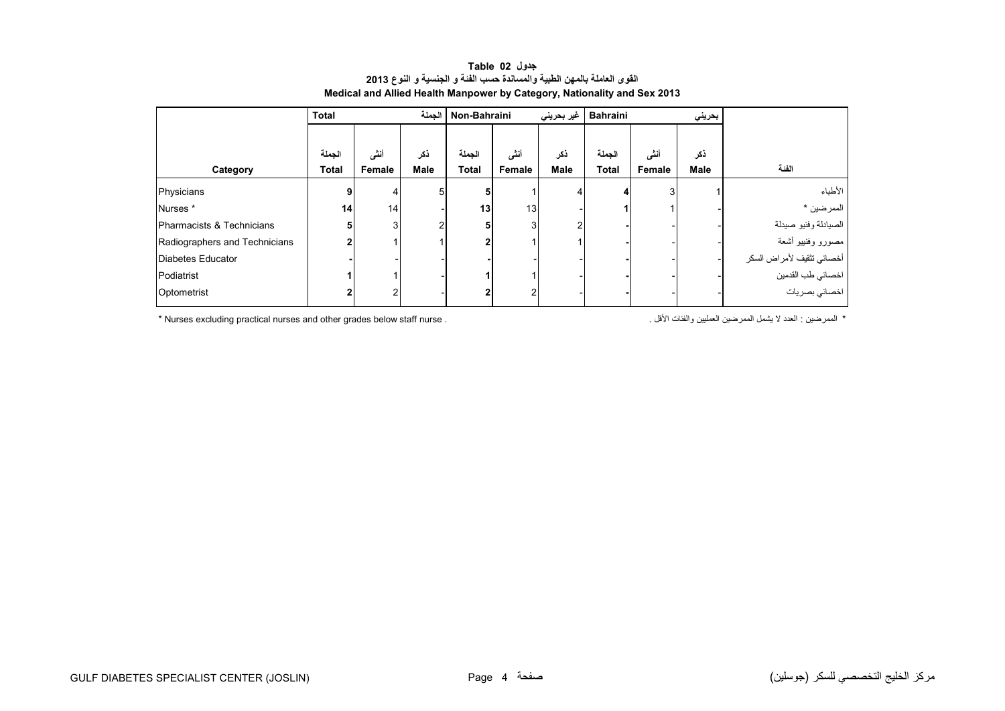<span id="page-2-0"></span>

|                               | الحملة<br><b>Total</b> |                 |                    | غير بحريني<br>Non-Bahraini |                |                    | <b>Bahraini</b><br>بحريني |                |                    |                           |
|-------------------------------|------------------------|-----------------|--------------------|----------------------------|----------------|--------------------|---------------------------|----------------|--------------------|---------------------------|
| Category                      | الجملة<br><b>Total</b> | أنشى<br>Female  | ذكر<br><b>Male</b> | الجملة<br><b>Total</b>     | أنشى<br>Female | ذكر<br><b>Male</b> | الجملة<br><b>Total</b>    | أننس<br>Female | ذكر<br><b>Male</b> | الفنة                     |
| Physicians                    | 9                      |                 | 5                  |                            |                |                    |                           | 3              |                    | الأطباء                   |
| Nurses <sup>*</sup>           | 14 <sub>1</sub>        | 14 <sub>1</sub> |                    | 13                         | 13             |                    |                           |                |                    | الممرضين *                |
| Pharmacists & Technicians     | 5                      | 3               |                    |                            |                |                    |                           |                |                    | الصيادلة وفنيو صيدلة      |
| Radiographers and Technicians |                        |                 |                    |                            |                |                    |                           |                |                    | مصورو وفنييو أشعة         |
| Diabetes Educator             |                        |                 |                    |                            |                |                    |                           |                |                    | أخصائي تثقيف لأمراض السكر |
| Podiatrist                    |                        |                 |                    |                            |                |                    |                           |                |                    | اخصائي طب القدمين         |
| Optometrist                   |                        |                 |                    |                            |                |                    |                           |                |                    | ۔<br>اخصائي بصر يات       |

#### **جدول 02 Table القوى العاملة بالمھن الطبية والمساندة حسب الفئة <sup>و</sup> الجنسية <sup>و</sup> النوع <sup>2013</sup> Medical and Allied Health Manpower by Category, Nationality and Sex 2013**

\* الممرضين : العدد لا يشمل الممرضين العمليين والفئات الأقل . . . Nurses excluding practical nurses and other grades below staff nurse \*